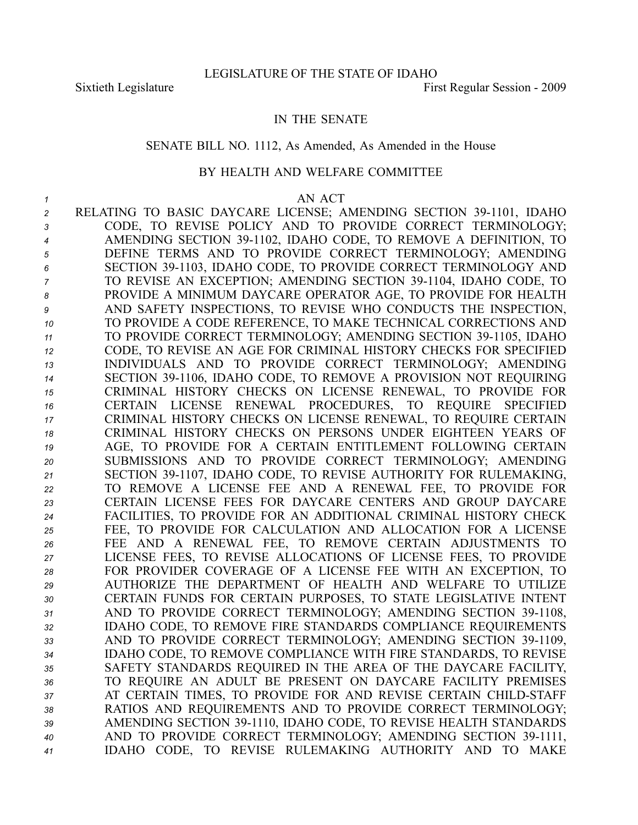## IN THE SENATE

#### SENATE BILL NO. 1112, As Amended, As Amended in the House

### BY HEALTH AND WELFARE COMMITTEE

#### *1* AN ACT

2 RELATING TO BASIC DAYCARE LICENSE; AMENDING SECTION 39-1101, IDAHO CODE, TO REVISE POLICY AND TO PROVIDE CORRECT TERMINOLOGY; AMENDING SECTION 391102, IDAHO CODE, TO REMOVE A DEFINITION, TO DEFINE TERMS AND TO PROVIDE CORRECT TERMINOLOGY; AMENDING SECTION 391103, IDAHO CODE, TO PROVIDE CORRECT TERMINOLOGY AND TO REVISE AN EXCEPTION; AMENDING SECTION 391104, IDAHO CODE, TO PROVIDE A MINIMUM DAYCARE OPERATOR AGE, TO PROVIDE FOR HEALTH AND SAFETY INSPECTIONS, TO REVISE WHO CONDUCTS THE INSPECTION, TO PROVIDE A CODE REFERENCE, TO MAKE TECHNICAL CORRECTIONS AND **TO PROVIDE CORRECT TERMINOLOGY; AMENDING SECTION 39-1105, IDAHO**  CODE, TO REVISE AN AGE FOR CRIMINAL HISTORY CHECKS FOR SPECIFIED INDIVIDUALS AND TO PROVIDE CORRECT TERMINOLOGY; AMENDING 14 SECTION 39-1106, IDAHO CODE, TO REMOVE A PROVISION NOT REQUIRING CRIMINAL HISTORY CHECKS ON LICENSE RENEWAL, TO PROVIDE FOR CERTAIN LICENSE RENEWAL PROCEDURES, TO REQUIRE SPECIFIED CRIMINAL HISTORY CHECKS ON LICENSE RENEWAL, TO REQUIRE CERTAIN CRIMINAL HISTORY CHECKS ON PERSONS UNDER EIGHTEEN YEARS OF AGE, TO PROVIDE FOR A CERTAIN ENTITLEMENT FOLLOWING CERTAIN SUBMISSIONS AND TO PROVIDE CORRECT TERMINOLOGY; AMENDING SECTION 391107, IDAHO CODE, TO REVISE AUTHORITY FOR RULEMAKING, TO REMOVE A LICENSE FEE AND A RENEWAL FEE, TO PROVIDE FOR CERTAIN LICENSE FEES FOR DAYCARE CENTERS AND GROUP DAYCARE FACILITIES, TO PROVIDE FOR AN ADDITIONAL CRIMINAL HISTORY CHECK FEE, TO PROVIDE FOR CALCULATION AND ALLOCATION FOR A LICENSE FEE AND A RENEWAL FEE, TO REMOVE CERTAIN ADJUSTMENTS TO LICENSE FEES, TO REVISE ALLOCATIONS OF LICENSE FEES, TO PROVIDE FOR PROVIDER COVERAGE OF A LICENSE FEE WITH AN EXCEPTION, TO AUTHORIZE THE DEPARTMENT OF HEALTH AND WELFARE TO UTILIZE CERTAIN FUNDS FOR CERTAIN PURPOSES, TO STATE LEGISLATIVE INTENT 31 AND TO PROVIDE CORRECT TERMINOLOGY; AMENDING SECTION 39-1108, IDAHO CODE, TO REMOVE FIRE STANDARDS COMPLIANCE REQUIREMENTS 33 AND TO PROVIDE CORRECT TERMINOLOGY; AMENDING SECTION 39-1109, IDAHO CODE, TO REMOVE COMPLIANCE WITH FIRE STANDARDS, TO REVISE SAFETY STANDARDS REQUIRED IN THE AREA OF THE DAYCARE FACILITY, TO REQUIRE AN ADULT BE PRESENT ON DAYCARE FACILITY PREMISES 37 AT CERTAIN TIMES, TO PROVIDE FOR AND REVISE CERTAIN CHILD-STAFF RATIOS AND REQUIREMENTS AND TO PROVIDE CORRECT TERMINOLOGY; AMENDING SECTION 391110, IDAHO CODE, TO REVISE HEALTH STANDARDS 40 AND TO PROVIDE CORRECT TERMINOLOGY; AMENDING SECTION 39-1111, IDAHO CODE, TO REVISE RULEMAKING AUTHORITY AND TO MAKE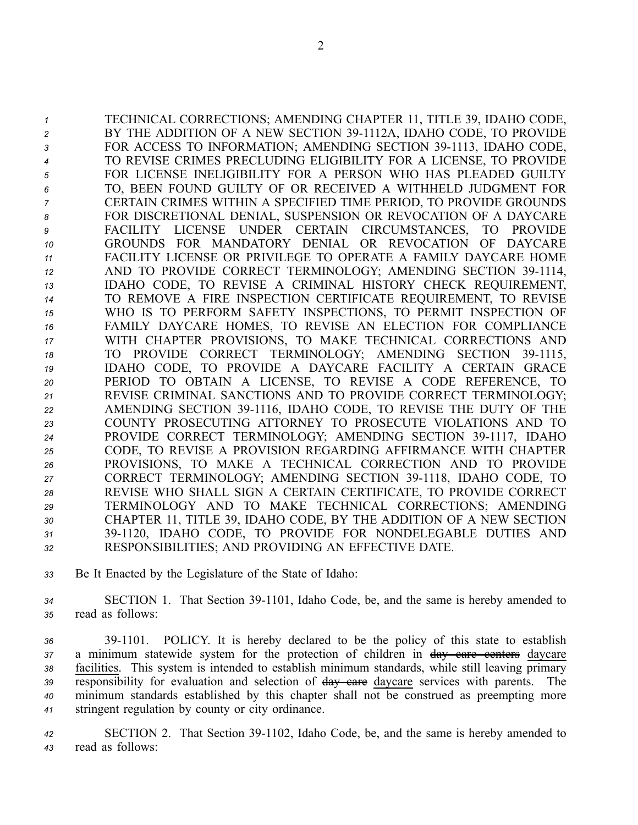TECHNICAL CORRECTIONS; AMENDING CHAPTER 11, TITLE 39, IDAHO CODE, 2 BY THE ADDITION OF A NEW SECTION 39-1112A, IDAHO CODE, TO PROVIDE **FOR ACCESS TO INFORMATION; AMENDING SECTION 39-1113, IDAHO CODE,**  TO REVISE CRIMES PRECLUDING ELIGIBILITY FOR A LICENSE, TO PROVIDE FOR LICENSE INELIGIBILITY FOR A PERSON WHO HAS PLEADED GUILTY TO, BEEN FOUND GUILTY OF OR RECEIVED A WITHHELD JUDGMENT FOR CERTAIN CRIMES WITHIN A SPECIFIED TIME PERIOD, TO PROVIDE GROUNDS FOR DISCRETIONAL DENIAL, SUSPENSION OR REVOCATION OF A DAYCARE FACILITY LICENSE UNDER CERTAIN CIRCUMSTANCES, TO PROVIDE GROUNDS FOR MANDATORY DENIAL OR REVOCATION OF DAYCARE FACILITY LICENSE OR PRIVILEGE TO OPERATE A FAMILY DAYCARE HOME 12 AND TO PROVIDE CORRECT TERMINOLOGY; AMENDING SECTION 39-1114, IDAHO CODE, TO REVISE A CRIMINAL HISTORY CHECK REQUIREMENT, TO REMOVE A FIRE INSPECTION CERTIFICATE REQUIREMENT, TO REVISE WHO IS TO PERFORM SAFETY INSPECTIONS, TO PERMIT INSPECTION OF FAMILY DAYCARE HOMES, TO REVISE AN ELECTION FOR COMPLIANCE WITH CHAPTER PROVISIONS, TO MAKE TECHNICAL CORRECTIONS AND 18 TO PROVIDE CORRECT TERMINOLOGY; AMENDING SECTION 39-1115, IDAHO CODE, TO PROVIDE A DAYCARE FACILITY A CERTAIN GRACE PERIOD TO OBTAIN A LICENSE, TO REVISE A CODE REFERENCE, TO REVISE CRIMINAL SANCTIONS AND TO PROVIDE CORRECT TERMINOLOGY; AMENDING SECTION 391116, IDAHO CODE, TO REVISE THE DUTY OF THE COUNTY PROSECUTING ATTORNEY TO PROSECUTE VIOLATIONS AND TO 24 PROVIDE CORRECT TERMINOLOGY; AMENDING SECTION 39-1117, IDAHO CODE, TO REVISE A PROVISION REGARDING AFFIRMANCE WITH CHAPTER PROVISIONS, TO MAKE A TECHNICAL CORRECTION AND TO PROVIDE 27 CORRECT TERMINOLOGY; AMENDING SECTION 39-1118, IDAHO CODE, TO REVISE WHO SHALL SIGN A CERTAIN CERTIFICATE, TO PROVIDE CORRECT TERMINOLOGY AND TO MAKE TECHNICAL CORRECTIONS; AMENDING CHAPTER 11, TITLE 39, IDAHO CODE, BY THE ADDITION OF A NEW SECTION 391120, IDAHO CODE, TO PROVIDE FOR NONDELEGABLE DUTIES AND RESPONSIBILITIES; AND PROVIDING AN EFFECTIVE DATE.

*<sup>33</sup>* Be It Enacted by the Legislature of the State of Idaho:

*<sup>34</sup>* SECTION 1. That Section 391101, Idaho Code, be, and the same is hereby amended to *<sup>35</sup>* read as follows:

 391101. POLICY. It is hereby declared to be the policy of this state to establish <sup>a</sup> minimum statewide system for the protection of children in day care centers daycare facilities. This system is intended to establish minimum standards, while still leaving primary responsibility for evaluation and selection of day care daycare services with parents. The minimum standards established by this chapter shall not be construed as preempting more stringent regulation by county or city ordinance.

*<sup>42</sup>* SECTION 2. That Section 391102, Idaho Code, be, and the same is hereby amended to *<sup>43</sup>* read as follows: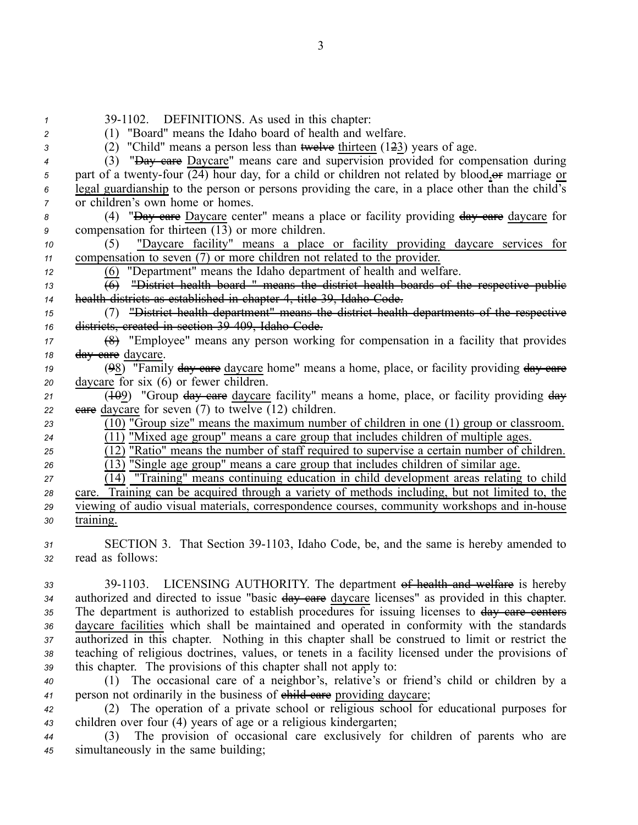39-1102. DEFINITIONS. As used in this chapter: (1) "Board" means the Idaho board of health and welfare. (2) "Child" means <sup>a</sup> person less than twelve thirteen (123) years of age. (3) "Day care Daycare" means care and supervision provided for compensation during part of a twenty-four  $\overline{(24)}$  hour day, for a child or children not related by blood, or marriage or legal guardianship to the person or persons providing the care, in <sup>a</sup> place other than the child's *z* or children's own home or homes. 8 (4) "<del>Day care</del> Daycare center" means a place or facility providing  $\frac{day}{dx}$  eare daycare for compensation for thirteen (13) or more children. (5) "Daycare facility" means <sup>a</sup> place or facility providing daycare services for compensation to seven (7) or more children not related to the provider. (6) "Department" means the Idaho department of health and welfare.  $\overline{6}$  "District health board " means the district health boards of the respective public health districts as established in chapter 4, title 39, Idaho Code. (7) "District health department" means the district health departments of the respective districts, created in section 39409, Idaho Code. (8) "Employee" means any person working for compensation in <sup>a</sup> facility that provides day care daycare. (98) "Family day care daycare home" means <sup>a</sup> home, place, or facility providing day care daycare for six (6) or fewer children. 21 (109) "Group day care daycare facility" means a home, place, or facility providing day eare daycare for seven (7) to twelve (12) children. (10) "Group size" means the maximum number of children in one (1) group or classroom.  $\overline{(11)}$  "Mixed age group" means a care group that includes children of multiple ages.  $\overline{(12)}$  "Ratio" means the number of staff required to supervise a certain number of children. (13) "Single age group" means <sup>a</sup> care group that includes children of similar age. (14) "Training" means continuing education in child development areas relating to child care. Training can be acquired through <sup>a</sup> variety of methods including, but not limited to, the viewing of audio visual materials, correspondence courses, community workshops and in-house training. 31 SECTION 3. That Section 39-1103, Idaho Code, be, and the same is hereby amended to read as follows: 391103. LICENSING AUTHORITY. The department of health and welfare is hereby

 authorized and directed to issue "basic day care daycare licenses" as provided in this chapter. 35 The department is authorized to establish procedures for issuing licenses to day care centers daycare facilities which shall be maintained and operated in conformity with the standards authorized in this chapter. Nothing in this chapter shall be construed to limit or restrict the teaching of religious doctrines, values, or tenets in <sup>a</sup> facility licensed under the provisions of this chapter. The provisions of this chapter shall not apply to:

*<sup>40</sup>* (1) The occasional care of <sup>a</sup> neighbor's, relative's or friend's child or children by <sup>a</sup> 41 person not ordinarily in the business of child care providing daycare;

*<sup>42</sup>* (2) The operation of <sup>a</sup> private school or religious school for educational purposes for *<sup>43</sup>* children over four (4) years of age or <sup>a</sup> religious kindergarten;

*<sup>44</sup>* (3) The provision of occasional care exclusively for children of parents who are *<sup>45</sup>* simultaneously in the same building;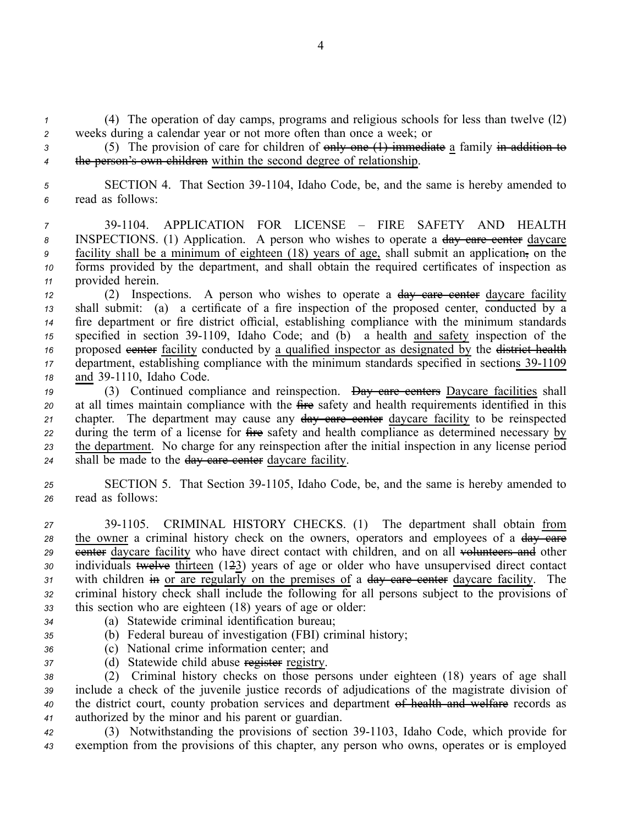*<sup>1</sup>* (4) The operation of day camps, programs and religious schools for less than twelve (l2) *<sup>2</sup>* weeks during <sup>a</sup> calendar year or not more often than once <sup>a</sup> week; or

*<sup>3</sup>* (5) The provision of care for children of only one (1) immediate <sup>a</sup> family in addition to *<sup>4</sup>* the person's own children within the second degree of relationship.

*<sup>5</sup>* SECTION 4. That Section 391104, Idaho Code, be, and the same is hereby amended to *<sup>6</sup>* read as follows:

 391104. APPLICATION FOR LICENSE – FIRE SAFETY AND HEALTH 8 INSPECTIONS. (1) Application. A person who wishes to operate a day care center daycare facility shall be <sup>a</sup> minimum of eighteen (18) years of age, shall submit an application, on the forms provided by the department, and shall obtain the required certificates of inspection as provided herein.

*<sup>12</sup>* (2) Inspections. A person who wishes to operate <sup>a</sup> day care center daycare facility *<sup>13</sup>* shall submit: (a) <sup>a</sup> certificate of <sup>a</sup> fire inspection of the proposed center, conducted by <sup>a</sup> *<sup>14</sup>* fire department or fire district official, establishing compliance with the minimum standards 15 specified in section 39-1109, Idaho Code; and (b) a health and safety inspection of the 16 proposed eventer facility conducted by a qualified inspector as designated by the district health *17* department, establishing compliance with the minimum standards specified in sections 39-1109 18 and 39-1110, Idaho Code.

 (3) Continued compliance and reinspection. Day care centers Daycare facilities shall at all times maintain compliance with the fire safety and health requirements identified in this chapter. The department may cause any day care center daycare facility to be reinspected during the term of <sup>a</sup> license for fire safety and health compliance as determined necessary by the department. No charge for any reinspection after the initial inspection in any license period shall be made to the day care center daycare facility.

25 SECTION 5. That Section 39-1105, Idaho Code, be, and the same is hereby amended to *<sup>26</sup>* read as follows:

 391105. CRIMINAL HISTORY CHECKS. (1) The department shall obtain from 28 the owner a criminal history check on the owners, operators and employees of a day care 29 eenter daycare facility who have direct contact with children, and on all volunteers and other individuals twelve thirteen (123) years of age or older who have unsupervised direct contact with children in or are regularly on the premises of <sup>a</sup> day care center daycare facility. The criminal history check shall include the following for all persons subject to the provisions of this section who are eighteen (18) years of age or older: (a) Statewide criminal identification bureau;

- 
- 
- *<sup>35</sup>* (b) Federal bureau of investigation (FBI) criminal history;
- *<sup>36</sup>* (c) National crime information center; and
- 
- 37 (d) Statewide child abuse register registry.

 (2) Criminal history checks on those persons under eighteen (18) years of age shall include <sup>a</sup> check of the juvenile justice records of adjudications of the magistrate division of the district court, county probation services and department of health and welfare records as authorized by the minor and his paren<sup>t</sup> or guardian.

42 (3) Notwithstanding the provisions of section 39-1103, Idaho Code, which provide for *<sup>43</sup>* exemption from the provisions of this chapter, any person who owns, operates or is employed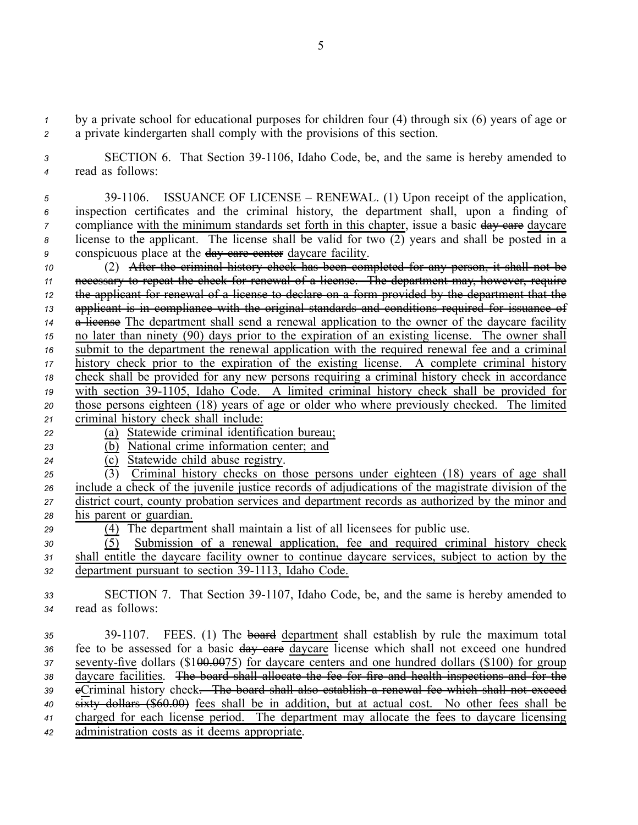*<sup>1</sup>* by <sup>a</sup> private school for educational purposes for children four (4) through six (6) years of age or *<sup>2</sup>* <sup>a</sup> private kindergarten shall comply with the provisions of this section.

*<sup>3</sup>* SECTION 6. That Section 391106, Idaho Code, be, and the same is hereby amended to *<sup>4</sup>* read as follows:

 391106. ISSUANCE OF LICENSE – RENEWAL. (1) Upon receipt of the application, inspection certificates and the criminal history, the department shall, upon <sup>a</sup> finding of compliance with the minimum standards set forth in this chapter, issue a basic day care daycare license to the applicant. The license shall be valid for two (2) years and shall be posted in <sup>a</sup> 9 conspicuous place at the day care center daycare facility.

 (2) After the criminal history check has been completed for any person, it shall not be necessary to repea<sup>t</sup> the check for renewal of <sup>a</sup> license. The department may, however, require the applicant for renewal of <sup>a</sup> license to declare on <sup>a</sup> form provided by the department that the applicant is in compliance with the original standards and conditions required for issuance of 14 a license The department shall send a renewal application to the owner of the daycare facility no later than ninety (90) days prior to the expiration of an existing license. The owner shall submit to the department the renewal application with the required renewal fee and <sup>a</sup> criminal history check prior to the expiration of the existing license. A complete criminal history check shall be provided for any new persons requiring <sup>a</sup> criminal history check in accordance 19 with section 39-1105, Idaho Code. A limited criminal history check shall be provided for those persons eighteen (18) years of age or older who where previously checked. The limited criminal history check shall include:

- *<sup>22</sup>* (a) Statewide criminal identification bureau;
- *<sup>23</sup>* (b) National crime information center; and
- *<sup>24</sup>* (c) Statewide child abuse registry.
- *<sup>25</sup>* (3) Criminal history checks on those persons under eighteen (18) years of age shall *<sup>26</sup>* include <sup>a</sup> check of the juvenile justice records of adjudications of the magistrate division of the *<sup>27</sup>* district court, county probation services and department records as authorized by the minor and *<sup>28</sup>* his paren<sup>t</sup> or guardian.
- *<sup>29</sup>* (4) The department shall maintain <sup>a</sup> list of all licensees for public use.

*<sup>30</sup>* (5) Submission of <sup>a</sup> renewal application, fee and required criminal history check *<sup>31</sup>* shall entitle the daycare facility owner to continue daycare services, subject to action by the *32* department pursuant to section 39-1113, Idaho Code.

*<sup>33</sup>* SECTION 7. That Section 391107, Idaho Code, be, and the same is hereby amended to *<sup>34</sup>* read as follows:

 391107. FEES. (1) The board department shall establish by rule the maximum total fee to be assessed for <sup>a</sup> basic day care daycare license which shall not exceed one hundred 37 seventy-five dollars (\$1<del>00.00</del>75) for daycare centers and one hundred dollars (\$100) for group daycare facilities. The board shall allocate the fee for fire and health inspections and for the <sup>39</sup> eCriminal history check<del>. The board shall also establish a renewal fee which shall not exceed</del> sixty dollars (\$60.00) fees shall be in addition, but at actual cost. No other fees shall be charged for each license period. The department may allocate the fees to daycare licensing administration costs as it deems appropriate.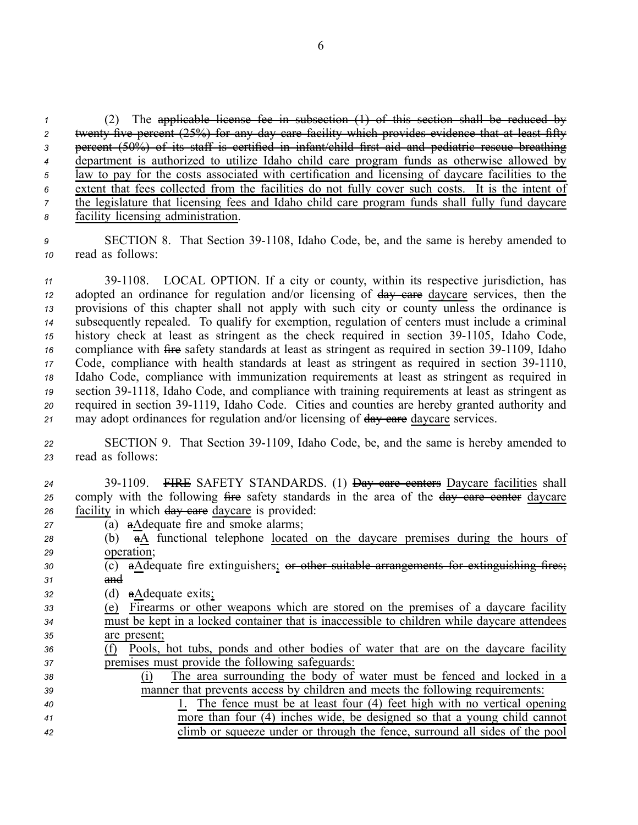(2) The applicable license fee in subsection (1) of this section shall be reduced by 2 twenty-five percent (25%) for any day care facility which provides evidence that at least fifty percen<sup>t</sup> (50%) of its staff is certified in infant/child first aid and pediatric rescue breathing department is authorized to utilize Idaho child care program funds as otherwise allowed by law to pay for the costs associated with certification and licensing of daycare facilities to the extent that fees collected from the facilities do not fully cover such costs. It is the intent of <sup>7</sup> the legislature that licensing fees and Idaho child care program funds shall fully fund daycare facility licensing administration.

**9** SECTION 8. That Section 39-1108, Idaho Code, be, and the same is hereby amended to *<sup>10</sup>* read as follows:

11 39-1108. LOCAL OPTION. If a city or county, within its respective jurisdiction, has adopted an ordinance for regulation and/or licensing of day care daycare services, then the provisions of this chapter shall not apply with such city or county unless the ordinance is subsequently repealed. To qualify for exemption, regulation of centers must include <sup>a</sup> criminal history check at least as stringent as the check required in section 39-1105, Idaho Code, compliance with fire safety standards at least as stringent as required in section 39-1109, Idaho Code, compliance with health standards at least as stringent as required in section 391110, Idaho Code, compliance with immunization requirements at least as stringent as required in 19 section 39-1118, Idaho Code, and compliance with training requirements at least as stringent as required in section 391119, Idaho Code. Cities and counties are hereby granted authority and 21 may adopt ordinances for regulation and/or licensing of day care daycare services.

22 SECTION 9. That Section 39-1109, Idaho Code, be, and the same is hereby amended to *<sup>23</sup>* read as follows:

- *<sup>24</sup>* 391109. FIRE SAFETY STANDARDS. (1) Day care centers Daycare facilities shall 25 comply with the following fire safety standards in the area of the day care center daycare 26 facility in which day eare daycare is provided:
- *<sup>27</sup>* (a) aAdequate fire and smoke alarms;
- *<sup>28</sup>* (b) aA functional telephone located on the daycare premises during the hours of *<sup>29</sup>* operation;
- *<sup>30</sup>* (c) aAdequate fire extinguishers; or other suitable arrangements for extinguishing fires; *<sup>31</sup>* and

*<sup>32</sup>* (d) aAdequate exits;

| 33 | (e) Firearms or other weapons which are stored on the premises of a daycare facility        |
|----|---------------------------------------------------------------------------------------------|
| 34 | must be kept in a locked container that is inaccessible to children while daycare attendees |
| 35 | are present;                                                                                |
|    |                                                                                             |

- *<sup>36</sup>* (f) Pools, hot tubs, ponds and other bodies of water that are on the daycare facility *<sup>37</sup>* premises must provide the following safeguards:
- *<sup>38</sup>* (i) The area surrounding the body of water must be fenced and locked in <sup>a</sup> *<sup>39</sup>* manner that prevents access by children and meets the following requirements: *<sup>40</sup>* 1. The fence must be at least four (4) feet high with no vertical opening *<sup>41</sup>* more than four (4) inches wide, be designed so that <sup>a</sup> young child cannot *<sup>42</sup>* climb or squeeze under or through the fence, surround all sides of the pool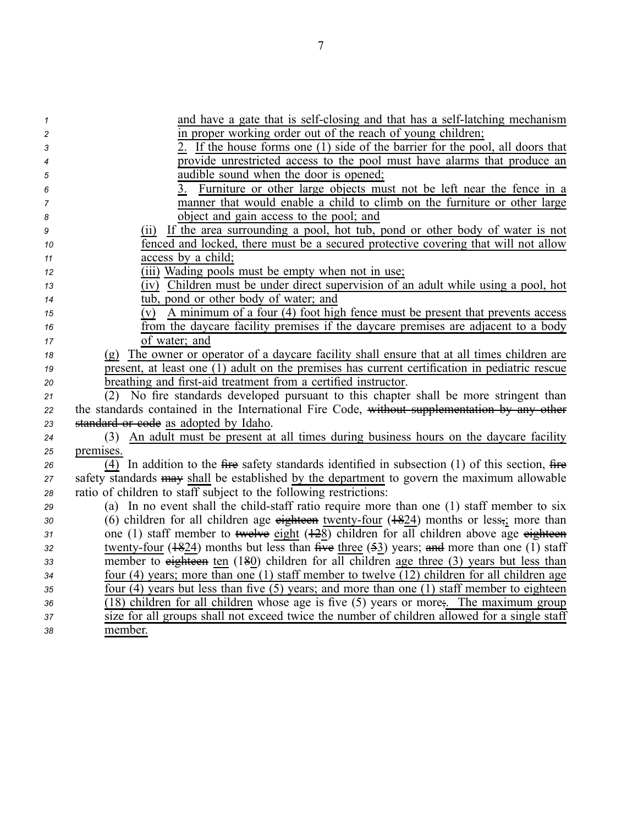| 1              | and have a gate that is self-closing and that has a self-latching mechanism                       |
|----------------|---------------------------------------------------------------------------------------------------|
| $\overline{c}$ | in proper working order out of the reach of young children;                                       |
| 3              | 2. If the house forms one (1) side of the barrier for the pool, all doors that                    |
| 4              | provide unrestricted access to the pool must have alarms that produce an                          |
| 5              | audible sound when the door is opened;                                                            |
| 6              | Furniture or other large objects must not be left near the fence in a                             |
| 7              | manner that would enable a child to climb on the furniture or other large                         |
| 8              | object and gain access to the pool; and                                                           |
| 9              | If the area surrounding a pool, hot tub, pond or other body of water is not<br>(11)               |
| 10             | fenced and locked, there must be a secured protective covering that will not allow                |
| 11             | access by a child;                                                                                |
| 12             | (iii) Wading pools must be empty when not in use;                                                 |
| 13             | (iv) Children must be under direct supervision of an adult while using a pool, hot                |
| 14             | tub, pond or other body of water; and                                                             |
| 15             | A minimum of a four (4) foot high fence must be present that prevents access<br>(v)               |
| 16             | from the daycare facility premises if the daycare premises are adjacent to a body                 |
| 17             | of water; and                                                                                     |
| 18             | (g) The owner or operator of a daycare facility shall ensure that at all times children are       |
| 19             | present, at least one (1) adult on the premises has current certification in pediatric rescue     |
| 20             | breathing and first-aid treatment from a certified instructor.                                    |
| 21             | (2) No fire standards developed pursuant to this chapter shall be more stringent than             |
| 22             | the standards contained in the International Fire Code, without supplementation by any other      |
| 23             | standard or code as adopted by Idaho.                                                             |
| 24             | An adult must be present at all times during business hours on the daycare facility<br>(3)        |
| 25             | premises.                                                                                         |
| 26             | (4) In addition to the fire safety standards identified in subsection $(1)$ of this section, fire |
| 27             | safety standards may shall be established by the department to govern the maximum allowable       |
| 28             | ratio of children to staff subject to the following restrictions:                                 |
| 29             | (a) In no event shall the child-staff ratio require more than one (1) staff member to six         |
| 30             | (6) children for all children age eighteen twenty-four $(1824)$ months or less, more than         |
| 31             | one (1) staff member to twelve eight (128) children for all children above age eighteen           |
| 32             | twenty-four $(1824)$ months but less than five three $(53)$ years; and more than one (1) staff    |
| 33             | member to eighteen ten $(180)$ children for all children age three $(3)$ years but less than      |
| 34             | four (4) years; more than one (1) staff member to twelve (12) children for all children age       |
| 35             | four $(4)$ years but less than five $(5)$ years; and more than one $(1)$ staff member to eighteen |
| 36             | (18) children for all children whose age is five (5) years or more; The maximum group             |
| 37             | size for all groups shall not exceed twice the number of children allowed for a single staff      |
| 38             | member.                                                                                           |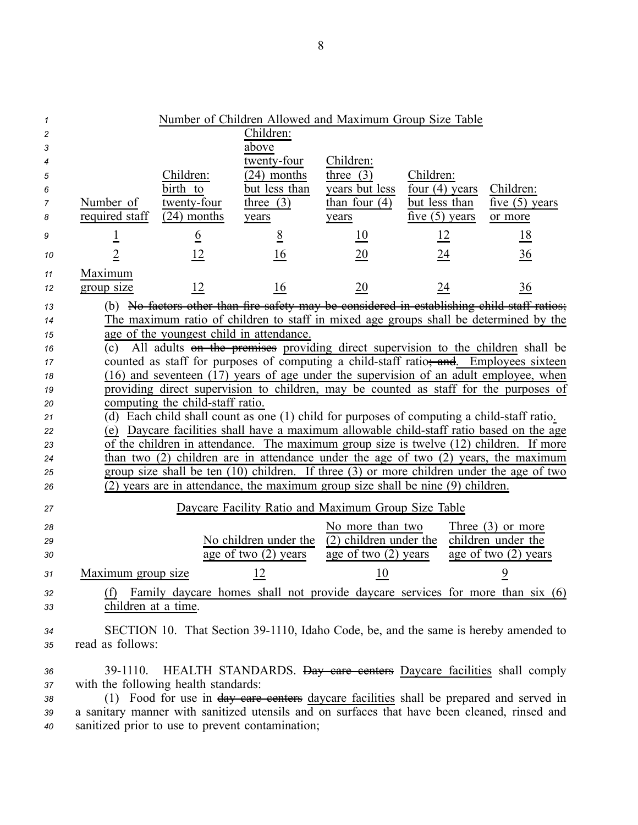| 1      |                                                                                              |                                          | Number of Children Allowed and Maximum Group Size Table |                        |                  |                                                                                                 |
|--------|----------------------------------------------------------------------------------------------|------------------------------------------|---------------------------------------------------------|------------------------|------------------|-------------------------------------------------------------------------------------------------|
| 2      |                                                                                              |                                          | Children:                                               |                        |                  |                                                                                                 |
| 3      |                                                                                              |                                          | above                                                   |                        |                  |                                                                                                 |
| 4      |                                                                                              |                                          | twenty-four                                             | Children:              |                  |                                                                                                 |
| 5      |                                                                                              | Children:                                | $\sqrt{24}$ ) months                                    | three $(3)$            | Children:        |                                                                                                 |
| 6      |                                                                                              | birth to                                 | but less than                                           | years but less         | four $(4)$ years | Children:                                                                                       |
| 7      | Number of                                                                                    | twenty-four                              | three $(3)$                                             | than four $(4)$        | but less than    | five $(5)$ years                                                                                |
| 8      | required staff                                                                               | $(24)$ months                            | years                                                   | years                  | five $(5)$ years | or more                                                                                         |
| 9      | <u>1</u>                                                                                     | $\underline{6}$                          | $\frac{8}{5}$                                           | $\overline{10}$        | 12               | <u>18</u>                                                                                       |
| 10     | $\overline{2}$                                                                               | <u> 12</u>                               | 16                                                      | $\underline{20}$       | <u>24</u>        | $\frac{36}{5}$                                                                                  |
| 11     | Maximum                                                                                      |                                          |                                                         |                        |                  |                                                                                                 |
| 12     | group size                                                                                   | 12                                       | 16                                                      | 20                     | 24               | 36                                                                                              |
| 13     |                                                                                              |                                          |                                                         |                        |                  | (b) No factors other than fire safety may be considered in establishing child staff ratios;     |
| 14     |                                                                                              |                                          |                                                         |                        |                  | The maximum ratio of children to staff in mixed age groups shall be determined by the           |
| 15     |                                                                                              | age of the youngest child in attendance. |                                                         |                        |                  |                                                                                                 |
| 16     |                                                                                              |                                          |                                                         |                        |                  | $\overline{c}$ All adults on the premises providing direct supervision to the children shall be |
| 17     |                                                                                              |                                          |                                                         |                        |                  | counted as staff for purposes of computing a child-staff ratio; and Employees sixteen           |
| 18     |                                                                                              |                                          |                                                         |                        |                  | (16) and seventeen (17) years of age under the supervision of an adult employee, when           |
| 19     |                                                                                              |                                          |                                                         |                        |                  | providing direct supervision to children, may be counted as staff for the purposes of           |
| 20     | computing the child-staff ratio.                                                             |                                          |                                                         |                        |                  |                                                                                                 |
| 21     | (d) Each child shall count as one (1) child for purposes of computing a child-staff ratio.   |                                          |                                                         |                        |                  |                                                                                                 |
| 22     | (e) Daycare facilities shall have a maximum allowable child-staff ratio based on the age     |                                          |                                                         |                        |                  |                                                                                                 |
| 23     | of the children in attendance. The maximum group size is twelve (12) children. If more       |                                          |                                                         |                        |                  |                                                                                                 |
| 24     | than two $(2)$ children are in attendance under the age of two $(2)$ years, the maximum      |                                          |                                                         |                        |                  |                                                                                                 |
| 25     | group size shall be ten (10) children. If three (3) or more children under the age of two    |                                          |                                                         |                        |                  |                                                                                                 |
| 26     | (2) years are in attendance, the maximum group size shall be nine (9) children.              |                                          |                                                         |                        |                  |                                                                                                 |
| 27     |                                                                                              |                                          | Daycare Facility Ratio and Maximum Group Size Table     |                        |                  |                                                                                                 |
| 28     |                                                                                              |                                          |                                                         | No more than two       |                  | Three $(3)$ or more                                                                             |
| 29     |                                                                                              |                                          | No children under the                                   | (2) children under the |                  | children under the                                                                              |
| 30     |                                                                                              |                                          | age of two $(2)$ years                                  | age of two $(2)$ years |                  | age of two $(2)$ years                                                                          |
| $31\,$ | Maximum group size                                                                           |                                          | $\frac{12}{2}$                                          | $\overline{10}$        |                  | $\overline{9}$                                                                                  |
| 32     | (f)                                                                                          |                                          |                                                         |                        |                  | Family daycare homes shall not provide daycare services for more than six (6)                   |
| 33     | children at a time.                                                                          |                                          |                                                         |                        |                  |                                                                                                 |
|        |                                                                                              |                                          |                                                         |                        |                  | SECTION 10. That Section 39-1110, Idaho Code, be, and the same is hereby amended to             |
| 34     | read as follows:                                                                             |                                          |                                                         |                        |                  |                                                                                                 |
| 35     |                                                                                              |                                          |                                                         |                        |                  |                                                                                                 |
| 36     | 39-1110.                                                                                     |                                          |                                                         |                        |                  | HEALTH STANDARDS. <del>Day care centers</del> Daycare facilities shall comply                   |
| 37     | with the following health standards:                                                         |                                          |                                                         |                        |                  |                                                                                                 |
| 38     | (1) Food for use in day care centers daycare facilities shall be prepared and served in      |                                          |                                                         |                        |                  |                                                                                                 |
| 39     | a sanitary manner with sanitized utensils and on surfaces that have been cleaned, rinsed and |                                          |                                                         |                        |                  |                                                                                                 |
| 40     | sanitized prior to use to prevent contamination;                                             |                                          |                                                         |                        |                  |                                                                                                 |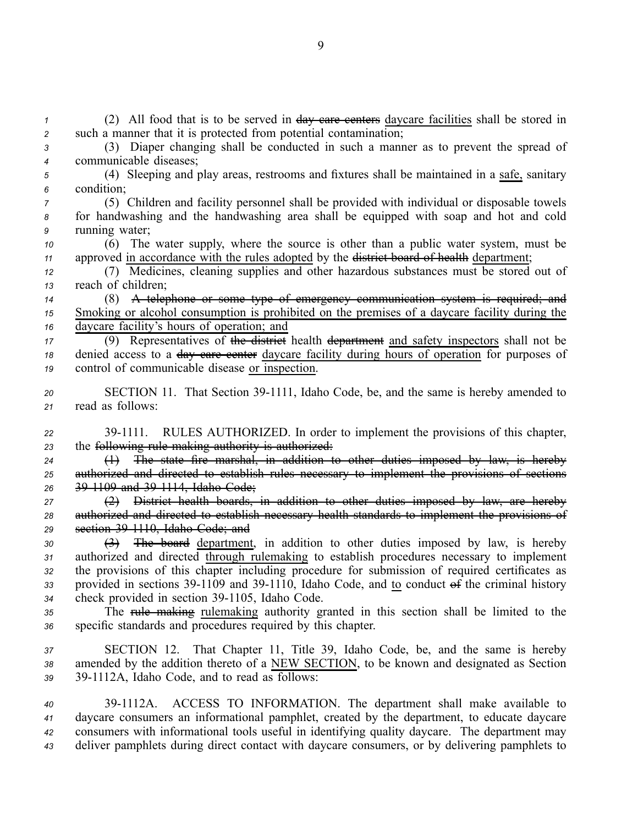(2) All food that is to be served in day care centers daycare facilities shall be stored in such <sup>a</sup> manner that it is protected from potential contamination; (3) Diaper changing shall be conducted in such <sup>a</sup> manner as to preven<sup>t</sup> the spread of communicable diseases; (4) Sleeping and play areas, restrooms and fixtures shall be maintained in <sup>a</sup> safe, sanitary

*<sup>6</sup>* condition;

*<sup>7</sup>* (5) Children and facility personnel shall be provided with individual or disposable towels *<sup>8</sup>* for handwashing and the handwashing area shall be equipped with soap and hot and cold *<sup>9</sup>* running water;

*<sup>10</sup>* (6) The water supply, where the source is other than <sup>a</sup> public water system, must be 11 approved in accordance with the rules adopted by the <del>district board of health</del> department;

*<sup>12</sup>* (7) Medicines, cleaning supplies and other hazardous substances must be stored out of *<sup>13</sup>* reach of children;

*<sup>14</sup>* (8) A telephone or some type of emergency communication system is required; and *<sup>15</sup>* Smoking or alcohol consumption is prohibited on the premises of <sup>a</sup> daycare facility during the *<sup>16</sup>* daycare facility's hours of operation; and

*<sup>17</sup>* (9) Representatives of the district health department and safety inspectors shall not be 18 denied access to a <del>day care center</del> daycare facility during hours of operation for purposes of *<sup>19</sup>* control of communicable disease or inspection.

- 20 SECTION 11. That Section 39-1111, Idaho Code, be, and the same is hereby amended to *<sup>21</sup>* read as follows:
- *<sup>22</sup>* 391111. RULES AUTHORIZED. In order to implement the provisions of this chapter, *<sup>23</sup>* the following rule making authority is authorized:

*<sup>24</sup>* (1) The state fire marshal, in addition to other duties imposed by law, is hereby *<sup>25</sup>* authorized and directed to establish rules necessary to implement the provisions of sections *<sup>26</sup>* 391109 and 391114, Idaho Code;

*<sup>27</sup>* (2) District health boards, in addition to other duties imposed by law, are hereby *<sup>28</sup>* authorized and directed to establish necessary health standards to implement the provisions of *<sup>29</sup>* section 391110, Idaho Code; and

*<sup>30</sup>* (3) The board department, in addition to other duties imposed by law, is hereby *<sup>31</sup>* authorized and directed through rulemaking to establish procedures necessary to implement *<sup>32</sup>* the provisions of this chapter including procedure for submission of required certificates as 33 provided in sections 39-1109 and 39-1110, Idaho Code, and to conduct of the criminal history 34 check provided in section 39-1105, Idaho Code.

*<sup>35</sup>* The rule making rulemaking authority granted in this section shall be limited to the *<sup>36</sup>* specific standards and procedures required by this chapter.

*<sup>37</sup>* SECTION 12. That Chapter 11, Title 39, Idaho Code, be, and the same is hereby *<sup>38</sup>* amended by the addition thereto of <sup>a</sup> NEW SECTION, to be known and designated as Section *<sup>39</sup>* 391112A, Idaho Code, and to read as follows:

 391112A. ACCESS TO INFORMATION. The department shall make available to daycare consumers an informational pamphlet, created by the department, to educate daycare consumers with informational tools useful in identifying quality daycare. The department may deliver pamphlets during direct contact with daycare consumers, or by delivering pamphlets to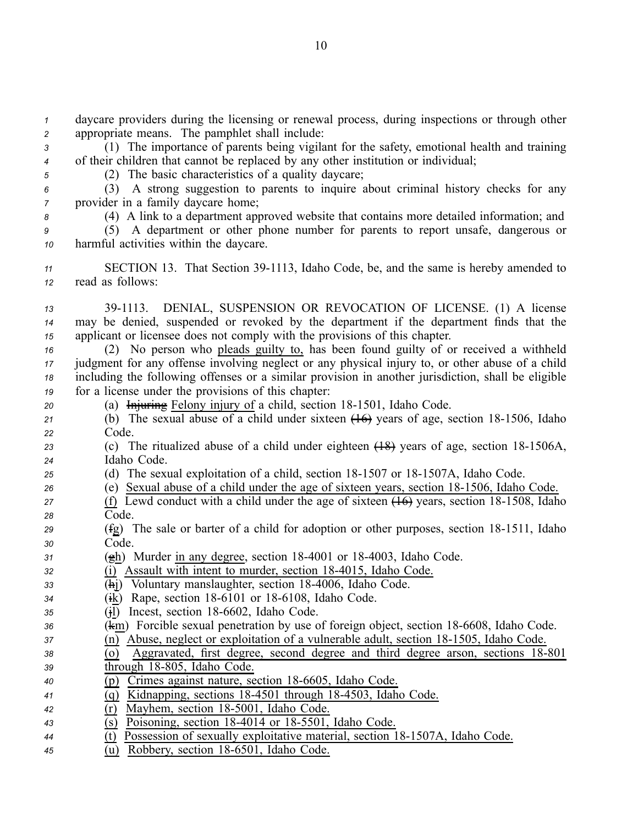*<sup>1</sup>* daycare providers during the licensing or renewal process, during inspections or through other *<sup>2</sup>* appropriate means. The pamphlet shall include:

*<sup>3</sup>* (1) The importance of parents being vigilant for the safety, emotional health and training *<sup>4</sup>* of their children that cannot be replaced by any other institution or individual;

*<sup>5</sup>* (2) The basic characteristics of <sup>a</sup> quality daycare;

*<sup>6</sup>* (3) A strong suggestion to parents to inquire about criminal history checks for any *<sup>7</sup>* provider in <sup>a</sup> family daycare home;

*<sup>8</sup>* (4) A link to <sup>a</sup> department approved website that contains more detailed information; and

*<sup>9</sup>* (5) A department or other phone number for parents to repor<sup>t</sup> unsafe, dangerous or *<sup>10</sup>* harmful activities within the daycare.

11 SECTION 13. That Section 39-1113, Idaho Code, be, and the same is hereby amended to *<sup>12</sup>* read as follows:

*<sup>13</sup>* 391113. DENIAL, SUSPENSION OR REVOCATION OF LICENSE. (1) A license *<sup>14</sup>* may be denied, suspended or revoked by the department if the department finds that the *<sup>15</sup>* applicant or licensee does not comply with the provisions of this chapter.

 (2) No person who pleads guilty to, has been found guilty of or received <sup>a</sup> withheld judgment for any offense involving neglect or any physical injury to, or other abuse of <sup>a</sup> child including the following offenses or <sup>a</sup> similar provision in another jurisdiction, shall be eligible for <sup>a</sup> license under the provisions of this chapter:

- 20 (a) Injuring Felony injury of a child, section 18-1501, Idaho Code.
- 21 (b) The sexual abuse of a child under sixteen  $\overline{(46)}$  years of age, section 18-1506, Idaho *<sup>22</sup>* Code.

23 (c) The ritualized abuse of a child under eighteen  $(18)$  years of age, section 18-1506A, *<sup>24</sup>* Idaho Code.

- *<sup>25</sup>* (d) The sexual exploitation of <sup>a</sup> child, section 181507 or 181507A, Idaho Code.
- *<sup>26</sup>* (e) Sexual abuse of <sup>a</sup> child under the age of sixteen years, section 181506, Idaho Code.

27 (f) Lewd conduct with a child under the age of sixteen  $(16)$  years, section 18-1508, Idaho *<sup>28</sup>* Code.

- *29* (fg) The sale or barter of a child for adoption or other purposes, section 18-1511, Idaho *<sup>30</sup>* Code.
- *<sup>31</sup>* (gh) Murder in any degree, section 184001 or 184003, Idaho Code.

*<sup>32</sup>* (i) Assault with intent to murder, section 184015, Idaho Code.

- 33 **(hj)** Voluntary manslaughter, section 18-4006, Idaho Code.
- *<sup>34</sup>* (ik) Rape, section 186101 or 186108, Idaho Code.
- *<sup>35</sup>* (jl) Incest, section 186602, Idaho Code.

*36* (km) Forcible sexual penetration by use of foreign object, section 18-6608, Idaho Code.

*37* (n) Abuse, neglect or exploitation of a vulnerable adult, section 18-1505, Idaho Code.

# $\overline{(0)}$  Aggravated, first degree, second degree and third degree arson, sections 18-801

- 39 through 18-805, Idaho Code.
- *<sup>40</sup>* (p) Crimes against nature, section 186605, Idaho Code.
- *<sup>41</sup>* (q) Kidnapping, sections 184501 through 184503, Idaho Code.
- $\overline{r}$  (r) Mayhem, section 18-5001, Idaho Code.
- $\overline{\text{(s)}}$  Poisoning, section 18-4014 or 18-5501, Idaho Code.
- $\overline{t}$  (t) Possession of sexually exploitative material, section 18-1507A, Idaho Code.
- *<sup>45</sup>* (u) Robbery, section 186501, Idaho Code.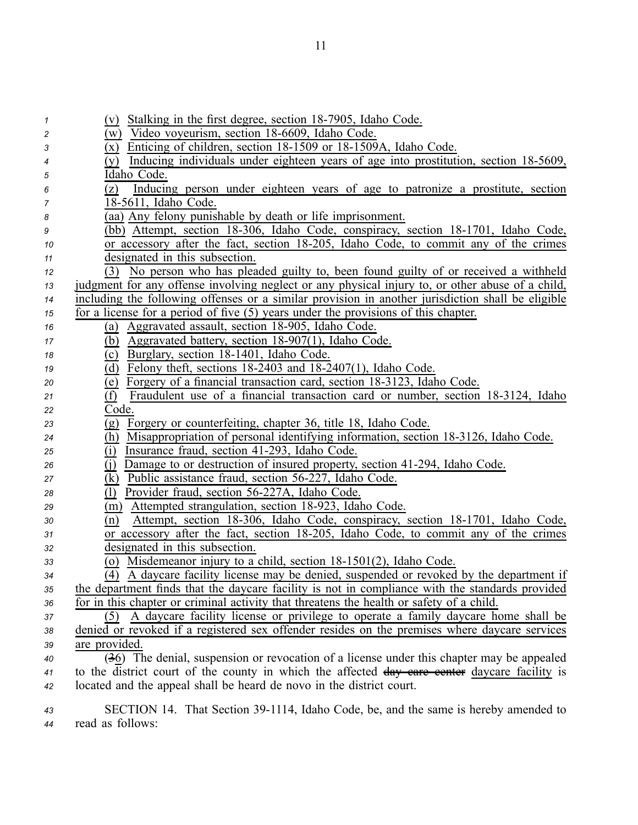| 1  | (v) Stalking in the first degree, section 18-7905, Idaho Code.                                       |
|----|------------------------------------------------------------------------------------------------------|
| 2  | (w) Video voyeurism, section 18-6609, Idaho Code.                                                    |
| 3  | (x) Enticing of children, section 18-1509 or 18-1509A, Idaho Code.                                   |
| 4  | Inducing individuals under eighteen years of age into prostitution, section 18-5609,<br>(y)          |
| 5  | Idaho Code.                                                                                          |
| 6  | Inducing person under eighteen years of age to patronize a prostitute, section<br>(z)                |
| 7  | 18-5611, Idaho Code.                                                                                 |
| 8  | (aa) Any felony punishable by death or life imprisonment.                                            |
| 9  | (bb) Attempt, section 18-306, Idaho Code, conspiracy, section 18-1701, Idaho Code,                   |
| 10 | or accessory after the fact, section 18-205, Idaho Code, to commit any of the crimes                 |
| 11 | designated in this subsection.                                                                       |
| 12 | No person who has pleaded guilty to, been found guilty of or received a withheld<br>(3)              |
| 13 | judgment for any offense involving neglect or any physical injury to, or other abuse of a child,     |
| 14 | including the following offenses or a similar provision in another jurisdiction shall be eligible    |
| 15 | for a license for a period of five $(5)$ years under the provisions of this chapter.                 |
| 16 | Aggravated assault, section 18-905, Idaho Code.<br>(a)                                               |
| 17 | (b) Aggravated battery, section 18-907(1), Idaho Code.                                               |
| 18 | Burglary, section 18-1401, Idaho Code.<br>(c)                                                        |
| 19 | Felony theft, sections 18-2403 and 18-2407(1), Idaho Code.<br>(d)                                    |
| 20 | Forgery of a financial transaction card, section 18-3123, Idaho Code.<br>(e)                         |
| 21 | Fraudulent use of a financial transaction card or number, section 18-3124, Idaho<br>(f)              |
| 22 | Code.                                                                                                |
| 23 | (g) Forgery or counterfeiting, chapter 36, title 18, Idaho Code.                                     |
| 24 | Misappropriation of personal identifying information, section 18-3126, Idaho Code.<br>(h)            |
| 25 | Insurance fraud, section 41-293, Idaho Code.<br>(i)                                                  |
| 26 | Damage to or destruction of insured property, section 41-294, Idaho Code.<br>(i)                     |
| 27 | (k) Public assistance fraud, section 56-227, Idaho Code.                                             |
| 28 | Provider fraud, section 56-227A, Idaho Code.<br>(1)                                                  |
| 29 | Attempted strangulation, section 18-923, Idaho Code.<br>(m)                                          |
| 30 | Attempt, section 18-306, Idaho Code, conspiracy, section 18-1701, Idaho Code,<br>(n)                 |
| 31 | or accessory after the fact, section 18-205, Idaho Code, to commit any of the crimes                 |
| 32 | designated in this subsection.                                                                       |
| 33 | (o) Misdemeanor injury to a child, section 18-1501(2), Idaho Code.                                   |
| 34 | $\overline{(4)}$ A daycare facility license may be denied, suspended or revoked by the department if |
| 35 | the department finds that the daycare facility is not in compliance with the standards provided      |
| 36 | for in this chapter or criminal activity that threatens the health or safety of a child.             |
| 37 | (5) A daycare facility license or privilege to operate a family daycare home shall be                |
| 38 | denied or revoked if a registered sex offender resides on the premises where daycare services        |
| 39 | are provided.                                                                                        |
| 40 | (36) The denial, suspension or revocation of a license under this chapter may be appealed            |
| 41 | to the district court of the county in which the affected day eare eenter daycare facility is        |
| 42 | located and the appeal shall be heard de novo in the district court.                                 |
| 43 | SECTION 14. That Section 39-1114, Idaho Code, be, and the same is hereby amended to                  |

*<sup>44</sup>* read as follows: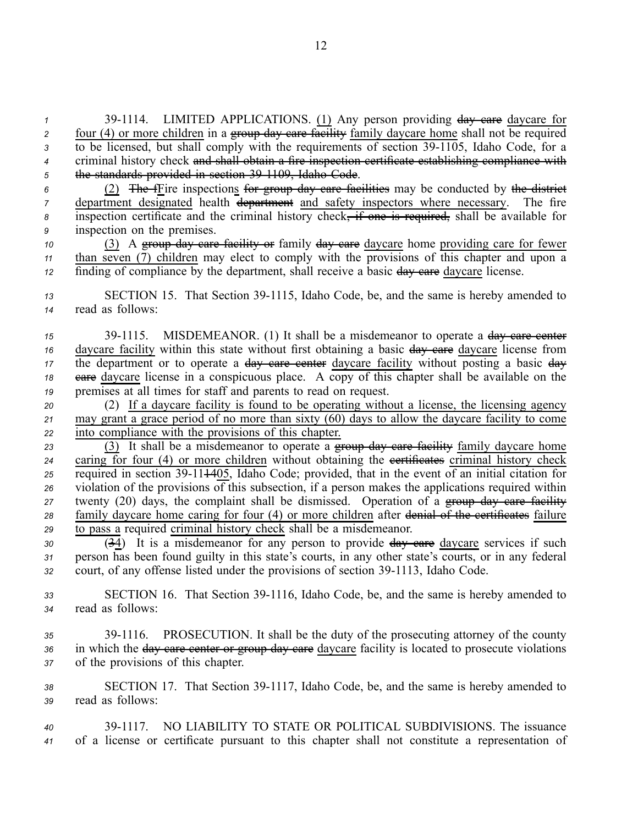1 39-1114. LIMITED APPLICATIONS. (1) Any person providing  $\frac{day}{dx}$  care daycare for *2* four (4) or more children in a group day care facility family daycare home shall not be required <sup>3</sup> to be licensed, but shall comply with the requirements of section 39-1105, Idaho Code, for a *<sup>4</sup>* criminal history check and shall obtain <sup>a</sup> fire inspection certificate establishing compliance with *<sup>5</sup>* the standards provided in section 391109, Idaho Code.

 (2) The fFire inspections for group day care facilities may be conducted by the district department designated health department and safety inspectors where necessary. The fire inspection certificate and the criminal history check, if one is required, shall be available for inspection on the premises.

*<sup>10</sup>* (3) A group day care facility or family day care daycare home providing care for fewer *<sup>11</sup>* than seven (7) children may elect to comply with the provisions of this chapter and upon <sup>a</sup> *12* finding of compliance by the department, shall receive a basic day eare daycare license.

13 SECTION 15. That Section 39-1115, Idaho Code, be, and the same is hereby amended to *<sup>14</sup>* read as follows:

15 39-1115. MISDEMEANOR. (1) It shall be a misdemeanor to operate a day care center 16 daycare facility within this state without first obtaining a basic  $\frac{day}{dx}$  care daycare license from 17 the department or to operate a <del>day care center</del> daycare facility without posting a basic day *<sup>18</sup>* care daycare license in <sup>a</sup> conspicuous place. A copy of this chapter shall be available on the *<sup>19</sup>* premises at all times for staff and parents to read on request.

*<sup>20</sup>* (2) If <sup>a</sup> daycare facility is found to be operating without <sup>a</sup> license, the licensing agency *<sup>21</sup>* may gran<sup>t</sup> <sup>a</sup> grace period of no more than sixty (60) days to allow the daycare facility to come *<sup>22</sup>* into compliance with the provisions of this chapter.

 (3) It shall be <sup>a</sup> misdemeanor to operate <sup>a</sup> group day care facility family daycare home caring for four (4) or more children without obtaining the **extificates** criminal history check 25 required in section 39-11<del>14</del>05, Idaho Code; provided, that in the event of an initial citation for violation of the provisions of this subsection, if <sup>a</sup> person makes the applications required within 27 twenty (20) days, the complaint shall be dismissed. Operation of a group day care facility family daycare home caring for four (4) or more children after denial of the certificates failure to pass <sup>a</sup> required criminal history check shall be <sup>a</sup> misdemeanor.

*<sup>30</sup>* (34) It is <sup>a</sup> misdemeanor for any person to provide day care daycare services if such *<sup>31</sup>* person has been found guilty in this state's courts, in any other state's courts, or in any federal 32 court, of any offense listed under the provisions of section 39-1113, Idaho Code.

33 **SECTION 16.** That Section 39-1116, Idaho Code, be, and the same is hereby amended to *<sup>34</sup>* read as follows:

*<sup>35</sup>* 391116. PROSECUTION. It shall be the duty of the prosecuting attorney of the county *<sup>36</sup>* in which the day care center or group day care daycare facility is located to prosecute violations *<sup>37</sup>* of the provisions of this chapter.

38 SECTION 17. That Section 39-1117, Idaho Code, be, and the same is hereby amended to *<sup>39</sup>* read as follows:

*<sup>40</sup>* 391117. NO LIABILITY TO STATE OR POLITICAL SUBDIVISIONS. The issuance *<sup>41</sup>* of <sup>a</sup> license or certificate pursuan<sup>t</sup> to this chapter shall not constitute <sup>a</sup> representation of